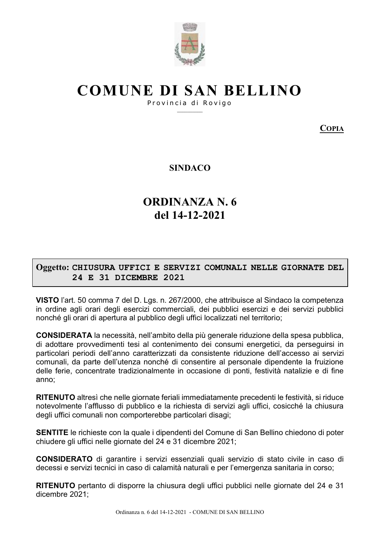

# **COMUNE DI SAN BELLINO**

Provincia di Rovigo

**COPIA** 

**SINDACO** 

## **ORDINANZA N.6** del 14-12-2021

### Oggetto: CHIUSURA UFFICI E SERVIZI COMUNALI NELLE GIORNATE DEL 24 E 31 DICEMBRE 2021

VISTO l'art. 50 comma 7 del D. Lgs. n. 267/2000, che attribuisce al Sindaco la competenza in ordine agli orari degli esercizi commerciali, dei pubblici esercizi e dei servizi pubblici nonché gli orari di apertura al pubblico degli uffici localizzati nel territorio;

**CONSIDERATA** la necessità, nell'ambito della più generale riduzione della spesa pubblica, di adottare provvedimenti tesi al contenimento dei consumi energetici, da perseguirsi in particolari periodi dell'anno caratterizzati da consistente riduzione dell'accesso ai servizi comunali, da parte dell'utenza nonché di consentire al personale dipendente la fruizione delle ferie, concentrate tradizionalmente in occasione di ponti, festività natalizie e di fine anno:

RITENUTO altresì che nelle giornate feriali immediatamente precedenti le festività, si riduce notevolmente l'afflusso di pubblico e la richiesta di servizi agli uffici, cosicché la chiusura degli uffici comunali non comporterebbe particolari disagi;

SENTITE le richieste con la quale i dipendenti del Comune di San Bellino chiedono di poter chiudere gli uffici nelle giornate del 24 e 31 dicembre 2021;

**CONSIDERATO** di garantire i servizi essenziali quali servizio di stato civile in caso di decessi e servizi tecnici in caso di calamità naturali e per l'emergenza sanitaria in corso;

RITENUTO pertanto di disporre la chiusura degli uffici pubblici nelle giornate del 24 e 31 dicembre 2021: